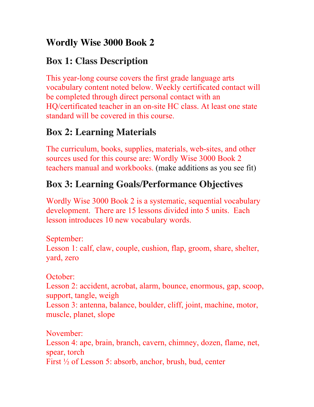## **Wordly Wise 3000 Book 2**

## **Box 1: Class Description**

This year-long course covers the first grade language arts vocabulary content noted below. Weekly certificated contact will be completed through direct personal contact with an HQ/certificated teacher in an on-site HC class. At least one state standard will be covered in this course.

## **Box 2: Learning Materials**

The curriculum, books, supplies, materials, web-sites, and other sources used for this course are: Wordly Wise 3000 Book 2 teachers manual and workbooks. (make additions as you see fit)

# **Box 3: Learning Goals/Performance Objectives**

Wordly Wise 3000 Book 2 is a systematic, sequential vocabulary development. There are 15 lessons divided into 5 units. Each lesson introduces 10 new vocabulary words.

September: Lesson 1: calf, claw, couple, cushion, flap, groom, share, shelter, yard, zero

October:

Lesson 2: accident, acrobat, alarm, bounce, enormous, gap, scoop, support, tangle, weigh Lesson 3: antenna, balance, boulder, cliff, joint, machine, motor, muscle, planet, slope

November: Lesson 4: ape, brain, branch, cavern, chimney, dozen, flame, net, spear, torch First ½ of Lesson 5: absorb, anchor, brush, bud, center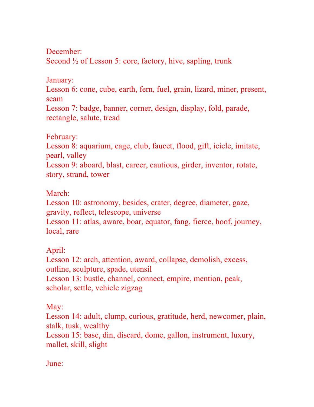December: Second <sup>1/2</sup> of Lesson 5: core, factory, hive, sapling, trunk

January:

Lesson 6: cone, cube, earth, fern, fuel, grain, lizard, miner, present, seam

Lesson 7: badge, banner, corner, design, display, fold, parade, rectangle, salute, tread

February:

Lesson 8: aquarium, cage, club, faucet, flood, gift, icicle, imitate, pearl, valley

Lesson 9: aboard, blast, career, cautious, girder, inventor, rotate, story, strand, tower

March:

Lesson 10: astronomy, besides, crater, degree, diameter, gaze, gravity, reflect, telescope, universe Lesson 11: atlas, aware, boar, equator, fang, fierce, hoof, journey, local, rare

April:

Lesson 12: arch, attention, award, collapse, demolish, excess, outline, sculpture, spade, utensil Lesson 13: bustle, channel, connect, empire, mention, peak, scholar, settle, vehicle zigzag

May:

Lesson 14: adult, clump, curious, gratitude, herd, newcomer, plain, stalk, tusk, wealthy

Lesson 15: base, din, discard, dome, gallon, instrument, luxury, mallet, skill, slight

June: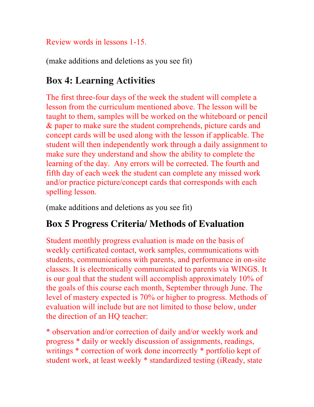#### Review words in lessons 1-15.

(make additions and deletions as you see fit)

## **Box 4: Learning Activities**

The first three-four days of the week the student will complete a lesson from the curriculum mentioned above. The lesson will be taught to them, samples will be worked on the whiteboard or pencil & paper to make sure the student comprehends, picture cards and concept cards will be used along with the lesson if applicable. The student will then independently work through a daily assignment to make sure they understand and show the ability to complete the learning of the day. Any errors will be corrected. The fourth and fifth day of each week the student can complete any missed work and/or practice picture/concept cards that corresponds with each spelling lesson.

(make additions and deletions as you see fit)

## **Box 5 Progress Criteria/ Methods of Evaluation**

Student monthly progress evaluation is made on the basis of weekly certificated contact, work samples, communications with students, communications with parents, and performance in on-site classes. It is electronically communicated to parents via WINGS. It is our goal that the student will accomplish approximately 10% of the goals of this course each month, September through June. The level of mastery expected is 70% or higher to progress. Methods of evaluation will include but are not limited to those below, under the direction of an HQ teacher:

\* observation and/or correction of daily and/or weekly work and progress \* daily or weekly discussion of assignments, readings, writings \* correction of work done incorrectly \* portfolio kept of student work, at least weekly \* standardized testing (iReady, state